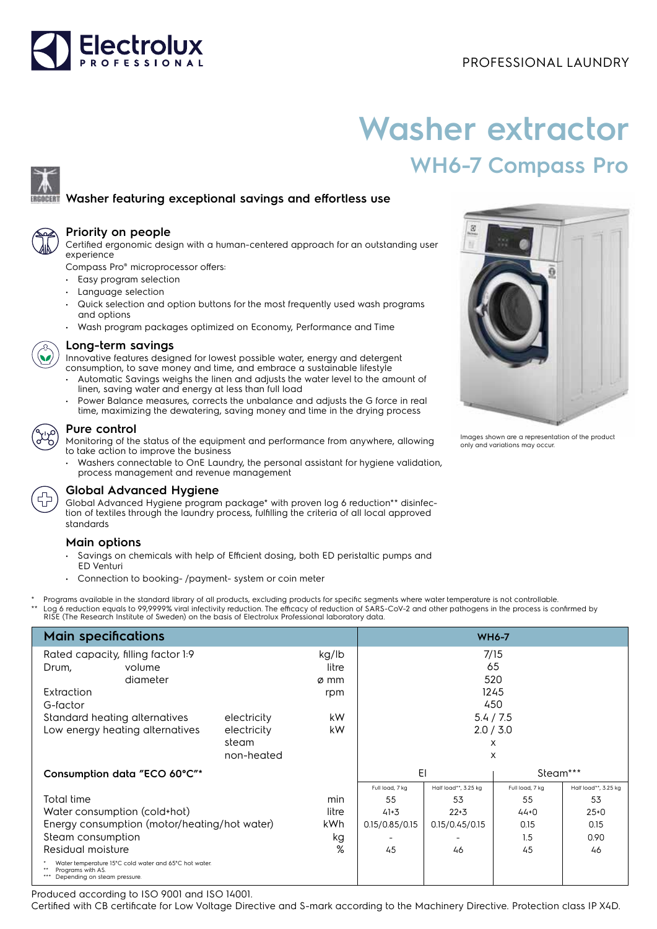

# **Washer extractor WH6-7 Compass Pro**

## **Washer featuring exceptional savings and effortless use**



#### **Priority on people**

Certified ergonomic design with a human-centered approach for an outstanding user experience

Compass Pro® microprocessor offers:

- Easy program selection
- Language selection
- Quick selection and option buttons for the most frequently used wash programs and options
- Wash program packages optimized on Economy, Performance and Time



#### **Long-term savings**

Innovative features designed for lowest possible water, energy and detergent consumption, to save money and time, and embrace a sustainable lifestyle

- Automatic Savings weighs the linen and adjusts the water level to the amount of linen, saving water and energy at less than full load
- Power Balance measures, corrects the unbalance and adjusts the G force in real time, maximizing the dewatering, saving money and time in the drying process

#### **Pure control**

Monitoring of the status of the equipment and performance from anywhere, allowing to take action to improve the business

• Washers connectable to OnE Laundry, the personal assistant for hygiene validation, process management and revenue management



### **Global Advanced Hygiene**

Global Advanced Hygiene program package\* with proven log 6 reduction\*\* disinfection of textiles through the laundry process, fulfilling the criteria of all local approved standards

#### **Main options**

- Savings on chemicals with help of Efficient dosing, both ED peristaltic pumps and ED Venturi
- Connection to booking- /payment- system or coin meter
- Programs available in the standard library of all products, excluding products for specific segments where water temperature is not controllable. \*\* Log 6 reduction equals to 99,9999% viral infectivity reduction. The efficacy of reduction of SARS-CoV-2 and other pathogens in the process is confirmed by<br>RISE (The Research Institute of Sweden) on the basis of Electrol

| <b>Main specifications</b>                                                                                 | <b>WH6-7</b> |       |                 |                      |                 |                      |
|------------------------------------------------------------------------------------------------------------|--------------|-------|-----------------|----------------------|-----------------|----------------------|
| Rated capacity, filling factor 1:9                                                                         | kg/lb        | 7/15  |                 |                      |                 |                      |
| Drum,<br>volume                                                                                            |              | litre |                 |                      | 65              |                      |
| diameter                                                                                                   |              | ø mm  |                 |                      | 520             |                      |
| Extraction                                                                                                 |              | rpm   |                 |                      | 1245            |                      |
| G-factor                                                                                                   |              |       |                 |                      | 450             |                      |
| Standard heating alternatives                                                                              | electricity  | kW    |                 |                      | 5.4 / 7.5       |                      |
| Low energy heating alternatives                                                                            | electricity  | kW    |                 |                      | 2.0 / 3.0       |                      |
|                                                                                                            | steam        |       |                 |                      | X               |                      |
|                                                                                                            | non-heated   |       |                 |                      | X               |                      |
| Consumption data "ECO 60°C"*                                                                               |              |       | EI              |                      | Steam***        |                      |
|                                                                                                            |              |       | Full load, 7 kg | Half load**, 3.25 kg | Full load, 7 kg | Half load**, 3.25 kg |
| Total time                                                                                                 |              | min   | 55              | 53                   | 55              | 53                   |
| Water consumption (cold+hot)                                                                               |              | litre | $41 + 3$        | $22 + 3$             | $44 + 0$        | $25+0$               |
| Energy consumption (motor/heating/hot water)                                                               |              | kWh.  | 0.15/0.85/0.15  | 0.15/0.45/0.15       | 0.15            | 0.15                 |
| Steam consumption                                                                                          |              | kg    |                 |                      | 1.5             | 0.90                 |
| Residual moisture                                                                                          |              | %     | 45              | 46                   | 45              | 46                   |
| Water temperature 15°C cold water and 65°C hot water.<br>Programs with AS.<br>Depending on steam pressure. |              |       |                 |                      |                 |                      |

Produced according to ISO 9001 and ISO 14001.

Certified with CB certificate for Low Voltage Directive and S-mark according to the Machinery Directive. Protection class IP X4D.



Images shown are a representation of the product only and variations may occur.